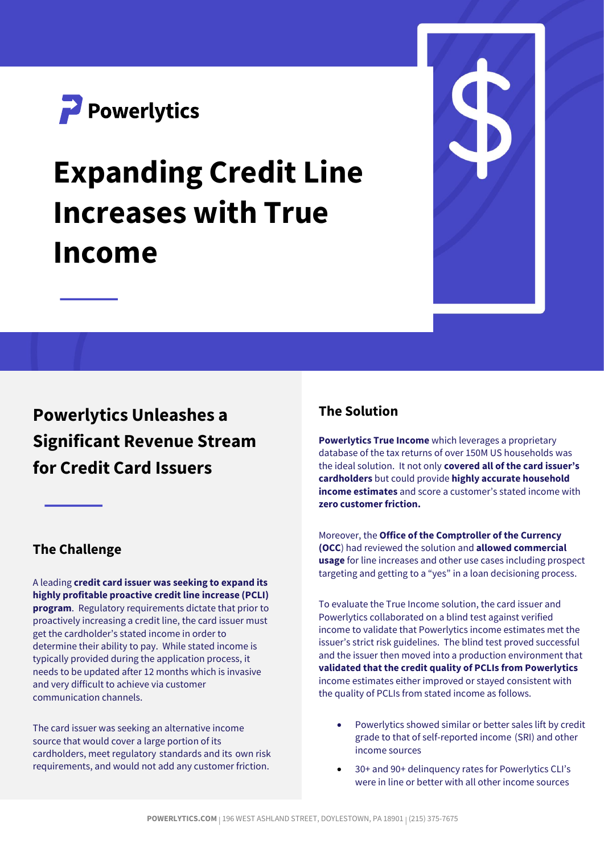

# **Expanding Credit Line Increases with True Income**



## **Powerlytics Unleashes a Significant Revenue Stream for Credit Card Issuers**

#### **The Challenge**

A leading **credit card issuer was seeking to expand its highly profitable proactive credit line increase (PCLI) program**. Regulatory requirements dictate that prior to proactively increasing a credit line, the card issuer must get the cardholder's stated income in order to determine their ability to pay. While stated income is typically provided during the application process, it needs to be updated after 12 months which is invasive and very difficult to achieve via customer communication channels.

The card issuer was seeking an alternative income source that would cover a large portion of its cardholders, meet regulatory standards and its own risk requirements, and would not add any customer friction.

#### **The Solution**

**Powerlytics True Income** which leverages a proprietary database of the tax returns of over 150M US households was the ideal solution. It not only **covered all of the card issuer's cardholders** but could provide **highly accurate household income estimates** and score a customer's stated income with **zero customer friction.** 

Moreover, the **Office of the Comptroller of the Currency (OCC**) had reviewed the solution and **allowed commercial usage** for line increases and other use cases including prospect targeting and getting to a "yes" in a loan decisioning process.

To evaluate the True Income solution, the card issuer and Powerlytics collaborated on a blind test against verified income to validate that Powerlytics income estimates met the issuer's strict risk guidelines. The blind test proved successful and the issuer then moved into a production environment that **validated that the credit quality of PCLIs from Powerlytics** income estimates either improved or stayed consistent with the quality of PCLIs from stated income as follows.

- Powerlytics showed similar or better sales lift by credit grade to that of self-reported income (SRI) and other income sources
- 30+ and 90+ delinquency rates for Powerlytics CLI's were in line or better with all other income sources